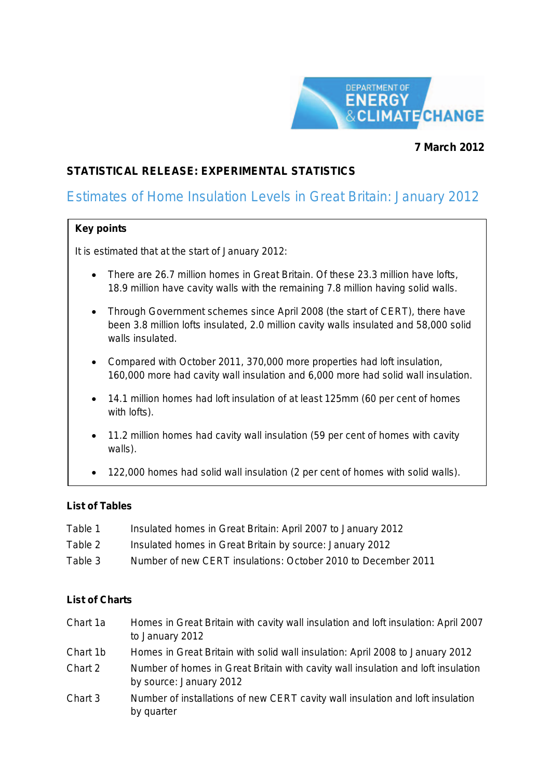

## **7 March 2012**

## **STATISTICAL RELEASE: EXPERIMENTAL STATISTICS**

# Estimates of Home Insulation Levels in Great Britain: January 2012

### **Key points**

It is estimated that at the start of January 2012:

- There are 26.7 million homes in Great Britain. Of these 23.3 million have lofts, 18.9 million have cavity walls with the remaining 7.8 million having solid walls.
- Through Government schemes since April 2008 (the start of CERT), there have been 3.8 million lofts insulated, 2.0 million cavity walls insulated and 58,000 solid walls insulated.
- Compared with October 2011, 370,000 more properties had loft insulation, 160,000 more had cavity wall insulation and 6,000 more had solid wall insulation.
- 14.1 million homes had loft insulation of at least 125mm (60 per cent of homes with lofts).
- 11.2 million homes had cavity wall insulation (59 per cent of homes with cavity walls).
- 122,000 homes had solid wall insulation (2 per cent of homes with solid walls).

### **List of Tables**

Table 1 Insulated homes in Great Britain: April 2007 to January 2012 Table 2 Insulated homes in Great Britain by source: January 2012 Table 3 Number of new CERT insulations: October 2010 to December 2011

### **List of Charts**

- Chart 1a Homes in Great Britain with cavity wall insulation and loft insulation: April 2007 to January 2012
- Chart 1b Homes in Great Britain with solid wall insulation: April 2008 to January 2012
- Chart 2 Number of homes in Great Britain with cavity wall insulation and loft insulation by source: January 2012
- Chart 3 Number of installations of new CERT cavity wall insulation and loft insulation by quarter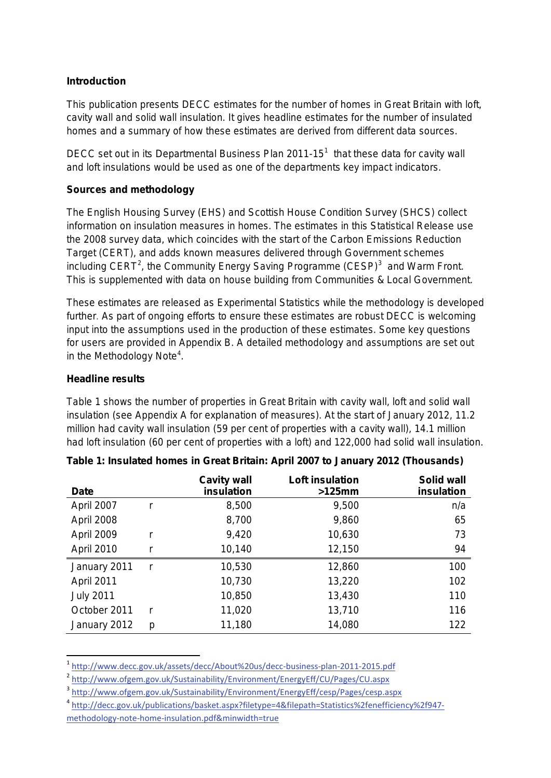## **Introduction**

This publication presents DECC estimates for the number of homes in Great Britain with loft, cavity wall and solid wall insulation. It gives headline estimates for the number of insulated homes and a summary of how these estimates are derived from different data sources.

DECC set out in its Departmental Business Plan  $2011-15<sup>1</sup>$  $2011-15<sup>1</sup>$  $2011-15<sup>1</sup>$  that these data for cavity wall and loft insulations would be used as one of the departments key impact indicators.

## **Sources and methodology**

The English Housing Survey (EHS) and Scottish House Condition Survey (SHCS) collect information on insulation measures in homes. The estimates in this Statistical Release use the 2008 survey data, which coincides with the start of the Carbon Emissions Reduction Target (CERT), and adds known measures delivered through Government schemes including CERT<sup>[2](#page-1-1)</sup>, the Community Energy Saving Programme (CESP)<sup>[3](#page-1-2)</sup> and Warm Front. This is supplemented with data on house building from Communities & Local Government.

These estimates are released as Experimental Statistics while the methodology is developed further. As part of ongoing efforts to ensure these estimates are robust DECC is welcoming input into the assumptions used in the production of these estimates. Some key questions for users are provided in Appendix B. A detailed methodology and assumptions are set out in the Methodology Note<sup>[4](#page-1-3)</sup>.

### **Headline results**

Table 1 shows the number of properties in Great Britain with cavity wall, loft and solid wall insulation (see Appendix A for explanation of measures). At the start of January 2012, 11.2 million had cavity wall insulation (59 per cent of properties with a cavity wall), 14.1 million had loft insulation (60 per cent of properties with a loft) and 122,000 had solid wall insulation.

| <b>Date</b>      |    | <b>Cavity wall</b><br>insulation | <b>Loft insulation</b><br>$>125$ mm | Solid wall<br>insulation |
|------------------|----|----------------------------------|-------------------------------------|--------------------------|
| April 2007       |    | 8,500                            | 9,500                               | n/a                      |
| April 2008       |    | 8,700                            | 9,860                               | 65                       |
| April 2009       |    | 9,420                            | 10,630                              | 73                       |
| April 2010       |    | 10,140                           | 12,150                              | 94                       |
| January 2011     | r, | 10,530                           | 12,860                              | 100                      |
| April 2011       |    | 10,730                           | 13,220                              | 102                      |
| <b>July 2011</b> |    | 10,850                           | 13,430                              | 110                      |
| October 2011     | r, | 11,020                           | 13,710                              | 116                      |
| January 2012     | p  | 11,180                           | 14,080                              | 122                      |

|  | Table 1: Insulated homes in Great Britain: April 2007 to January 2012 (Thousands) |  |  |
|--|-----------------------------------------------------------------------------------|--|--|
|--|-----------------------------------------------------------------------------------|--|--|

<span id="page-1-0"></span> <sup>1</sup> <http://www.decc.gov.uk/assets/decc/About%20us/decc-business-plan-2011-2015.pdf>

<span id="page-1-1"></span><sup>2</sup> <http://www.ofgem.gov.uk/Sustainability/Environment/EnergyEff/CU/Pages/CU.aspx>

<span id="page-1-2"></span><sup>3</sup> <http://www.ofgem.gov.uk/Sustainability/Environment/EnergyEff/cesp/Pages/cesp.aspx>

<span id="page-1-3"></span><sup>4</sup> [http://decc.gov.uk/publications/basket.aspx?filetype=4&filepath=Statistics%2fenefficiency%2f947-](http://decc.gov.uk/publications/basket.aspx?filetype=4&filepath=Statistics%2fenefficiency%2f947-methodology-note-home-insulation.pdf&minwidth=true)

[methodology-note-home-insulation.pdf&minwidth=true](http://decc.gov.uk/publications/basket.aspx?filetype=4&filepath=Statistics%2fenefficiency%2f947-methodology-note-home-insulation.pdf&minwidth=true)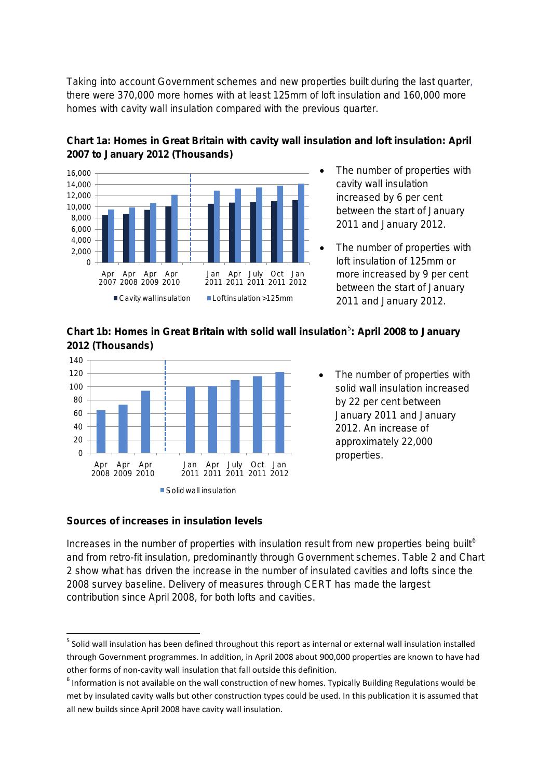Taking into account Government schemes and new properties built during the last quarter, there were 370,000 more homes with at least 125mm of loft insulation and 160,000 more homes with cavity wall insulation compared with the previous quarter.



## **Chart 1a: Homes in Great Britain with cavity wall insulation and loft insulation: April 2007 to January 2012 (Thousands)**

- The number of properties with cavity wall insulation increased by 6 per cent between the start of January 2011 and January 2012.
- The number of properties with loft insulation of 125mm or more increased by 9 per cent between the start of January 2011 and January 2012.





• The number of properties with solid wall insulation increased by 22 per cent between January 2011 and January 2012. An increase of approximately 22,000

### **Sources of increases in insulation levels**

Increases in the number of properties with insulation result from new properties being built<sup>[6](#page-2-1)</sup> and from retro-fit insulation, predominantly through Government schemes. Table 2 and Chart 2 show what has driven the increase in the number of insulated cavities and lofts since the 2008 survey baseline. Delivery of measures through CERT has made the largest contribution since April 2008, for both lofts and cavities.

<span id="page-2-0"></span><sup>&</sup>lt;sup>5</sup> Solid wall insulation has been defined throughout this report as internal or external wall insulation installed through Government programmes. In addition, in April 2008 about 900,000 properties are known to have had other forms of non-cavity wall insulation that fall outside this definition.

<span id="page-2-1"></span> $6$  Information is not available on the wall construction of new homes. Typically Building Regulations would be met by insulated cavity walls but other construction types could be used. In this publication it is assumed that all new builds since April 2008 have cavity wall insulation.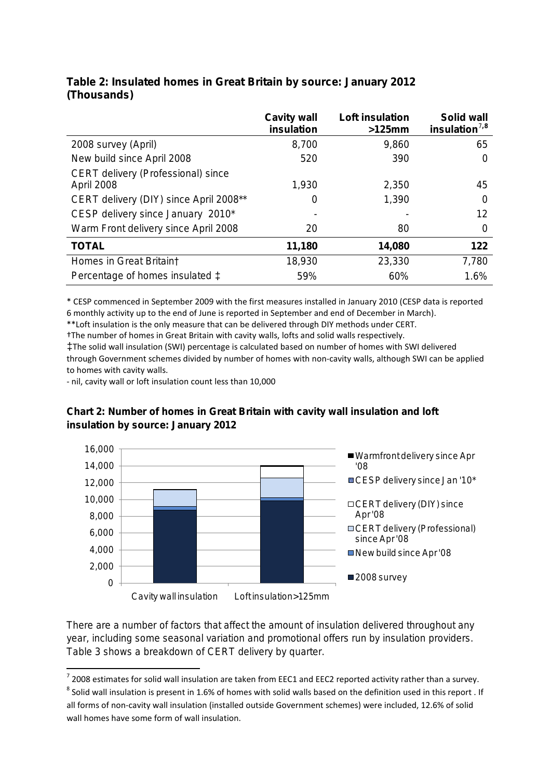|                                                  | <b>Cavity wall</b><br>insulation | Loft insulation<br>$>125$ mm | Solid wall<br>insulation $^{7,8}$ |
|--------------------------------------------------|----------------------------------|------------------------------|-----------------------------------|
| 2008 survey (April)                              | 8,700                            | 9,860                        | 65                                |
| New build since April 2008                       | 520                              | 390                          | 0                                 |
| CERT delivery (Professional) since<br>April 2008 | 1,930                            | 2,350                        | 45                                |
| CERT delivery (DIY) since April 2008**           | 0                                | 1,390                        | 0                                 |
| CESP delivery since January 2010*                |                                  |                              | 12                                |
| Warm Front delivery since April 2008             | 20                               | 80                           | 0                                 |
| <b>TOTAL</b>                                     | 11,180                           | 14,080                       | 122                               |
| Homes in Great Britain†                          | 18,930                           | 23,330                       | 7,780                             |
| Percentage of homes insulated $\ddagger$         | 59%                              | 60%                          | 1.6%                              |

## **Table 2: Insulated homes in Great Britain by source: January 2012 (Thousands)**

\* CESP commenced in September 2009 with the first measures installed in January 2010 (CESP data is reported 6 monthly activity up to the end of June is reported in September and end of December in March).

\*\*Loft insulation is the only measure that can be delivered through DIY methods under CERT.

†The number of homes in Great Britain with cavity walls, lofts and solid walls respectively.

‡The solid wall insulation (SWI) percentage is calculated based on number of homes with SWI delivered through Government schemes divided by number of homes with non-cavity walls, although SWI can be applied to homes with cavity walls.

- nil, cavity wall or loft insulation count less than 10,000

## **Chart 2: Number of homes in Great Britain with cavity wall insulation and loft insulation by source: January 2012**



There are a number of factors that affect the amount of insulation delivered throughout any year, including some seasonal variation and promotional offers run by insulation providers. Table 3 shows a breakdown of CERT delivery by quarter.

<span id="page-3-0"></span> $^7$  2008 estimates for solid wall insulation are taken from EEC1 and EEC2 reported activity rather than a survey.

<span id="page-3-1"></span><sup>&</sup>lt;sup>8</sup> Solid wall insulation is present in 1.6% of homes with solid walls based on the definition used in this report . If all forms of non-cavity wall insulation (installed outside Government schemes) were included, 12.6% of solid wall homes have some form of wall insulation.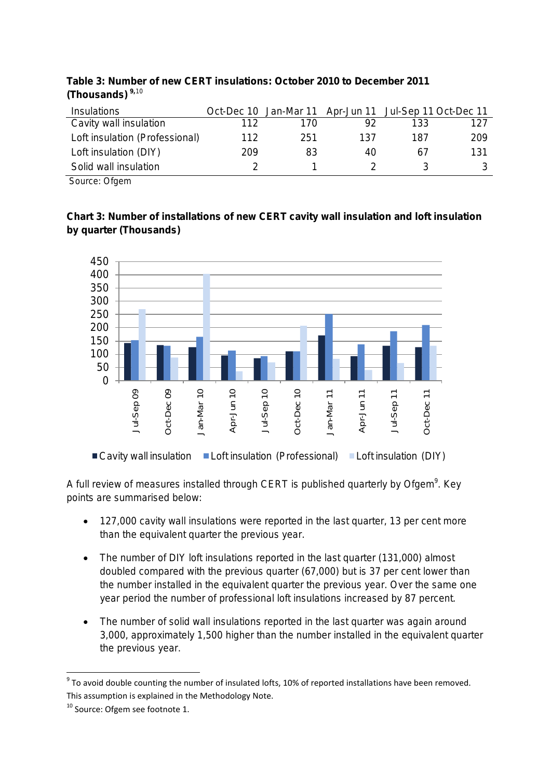| Insulations                    |     | Oct-Dec 10 Jan-Mar 11 Apr-Jun 11 Jul-Sep 11 Oct-Dec 11 |     |     |     |
|--------------------------------|-----|--------------------------------------------------------|-----|-----|-----|
| Cavity wall insulation         | 112 | 170                                                    | 92  | 133 | 127 |
| Loft insulation (Professional) | 112 | 251                                                    | 137 | 187 | 209 |
| Loft insulation (DIY)          | 209 | 83                                                     | 40  | 67  | 131 |
| Solid wall insulation          |     |                                                        |     |     | 3   |

## **Table 3: Number of new CERT insulations: October 2010 to December 2011 (Thousands) [9](#page-4-0),**[10](#page-4-1)

Source: Ofgem

## **Chart 3: Number of installations of new CERT cavity wall insulation and loft insulation by quarter (Thousands)**



A full review of measures installed through CERT is published quarterly by Ofgem<sup>9</sup>. Key points are summarised below:

- 127,000 cavity wall insulations were reported in the last quarter, 13 per cent more than the equivalent quarter the previous year.
- The number of DIY loft insulations reported in the last quarter (131,000) almost doubled compared with the previous quarter (67,000) but is 37 per cent lower than the number installed in the equivalent quarter the previous year. Over the same one year period the number of professional loft insulations increased by 87 percent.
- The number of solid wall insulations reported in the last quarter was again around 3,000, approximately 1,500 higher than the number installed in the equivalent quarter the previous year.

<span id="page-4-0"></span> $9$  To avoid double counting the number of insulated lofts, 10% of reported installations have been removed. This assumption is explained in the Methodology Note.

<span id="page-4-1"></span><sup>&</sup>lt;sup>10</sup> Source: Ofgem see footnote 1.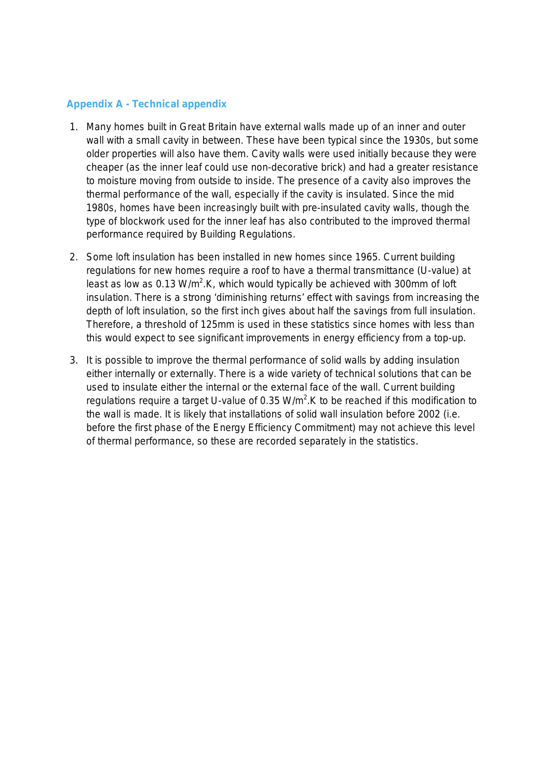## **Appendix A - Technical appendix**

- 1. Many homes built in Great Britain have external walls made up of an inner and outer wall with a small cavity in between. These have been typical since the 1930s, but some older properties will also have them. Cavity walls were used initially because they were cheaper (as the inner leaf could use non-decorative brick) and had a greater resistance to moisture moving from outside to inside. The presence of a cavity also improves the thermal performance of the wall, especially if the cavity is insulated. Since the mid 1980s, homes have been increasingly built with pre-insulated cavity walls, though the type of blockwork used for the inner leaf has also contributed to the improved thermal performance required by Building Regulations.
- 2. Some loft insulation has been installed in new homes since 1965. Current building regulations for new homes require a roof to have a thermal transmittance (U-value) at least as low as 0.13 W/m<sup>2</sup>.K, which would typically be achieved with 300mm of loft insulation. There is a strong 'diminishing returns' effect with savings from increasing the depth of loft insulation, so the first inch gives about half the savings from full insulation. Therefore, a threshold of 125mm is used in these statistics since homes with less than this would expect to see significant improvements in energy efficiency from a top-up.
- 3. It is possible to improve the thermal performance of solid walls by adding insulation either internally or externally. There is a wide variety of technical solutions that can be used to insulate either the internal or the external face of the wall. Current building regulations require a target U-value of 0.35  $W/m^2$ . K to be reached if this modification to the wall is made. It is likely that installations of solid wall insulation before 2002 (i.e. before the first phase of the Energy Efficiency Commitment) may not achieve this level of thermal performance, so these are recorded separately in the statistics.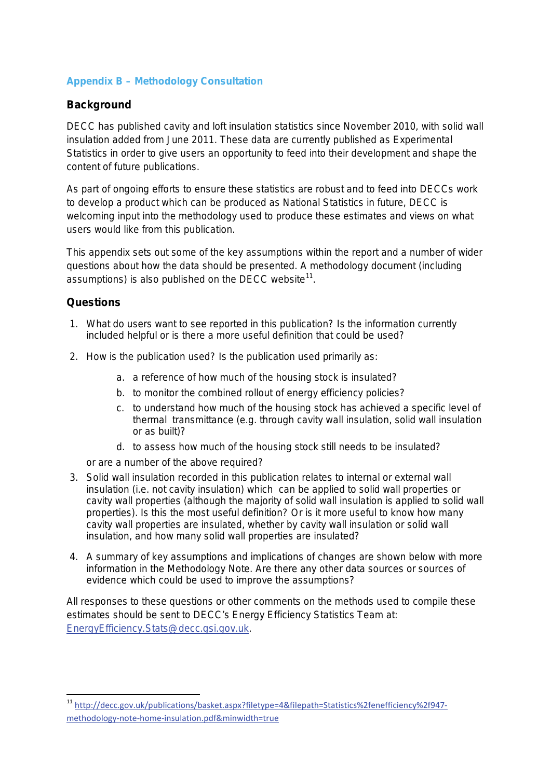## **Appendix B – Methodology Consultation**

## **Background**

DECC has published cavity and loft insulation statistics since November 2010, with solid wall insulation added from June 2011. These data are currently published as Experimental Statistics in order to give users an opportunity to feed into their development and shape the content of future publications.

As part of ongoing efforts to ensure these statistics are robust and to feed into DECCs work to develop a product which can be produced as National Statistics in future, DECC is welcoming input into the methodology used to produce these estimates and views on what users would like from this publication.

This appendix sets out some of the key assumptions within the report and a number of wider questions about how the data should be presented. A methodology document (including assumptions) is also published on the DECC website*[11](#page-6-0)* .

## **Questions**

- 1. What do users want to see reported in this publication? Is the information currently included helpful or is there a more useful definition that could be used?
- 2. How is the publication used? Is the publication used primarily as:
	- a. a reference of how much of the housing stock is insulated?
	- b. to monitor the combined rollout of energy efficiency policies?
	- c. to understand how much of the housing stock has achieved a specific level of thermal transmittance (e.g. through cavity wall insulation, solid wall insulation or as built)?
	- d. to assess how much of the housing stock still needs to be insulated?

or are a number of the above required?

- 3. Solid wall insulation recorded in this publication relates to internal or external wall insulation (i.e. not cavity insulation) which can be applied to solid wall properties or cavity wall properties (although the majority of solid wall insulation is applied to solid wall properties). Is this the most useful definition? Or is it more useful to know how many cavity wall properties are insulated, whether by cavity wall insulation or solid wall insulation, and how many solid wall properties are insulated?
- 4. A summary of key assumptions and implications of changes are shown below with more information in the Methodology Note. Are there any other data sources or sources of evidence which could be used to improve the assumptions?

All responses to these questions or other comments on the methods used to compile these estimates should be sent to DECC's Energy Efficiency Statistics Team at: [EnergyEfficiency.Stats@decc.gsi.gov.uk.](mailto:EnergyEfficiency.Stats@decc.gsi.gov.uk)

<span id="page-6-0"></span> <sup>11</sup> [http://decc.gov.uk/publications/basket.aspx?filetype=4&filepath=Statistics%2fenefficiency%2f947](http://decc.gov.uk/publications/basket.aspx?filetype=4&filepath=Statistics%2fenefficiency%2f947-methodology-note-home-insulation.pdf&minwidth=true) [methodology-note-home-insulation.pdf&minwidth=true](http://decc.gov.uk/publications/basket.aspx?filetype=4&filepath=Statistics%2fenefficiency%2f947-methodology-note-home-insulation.pdf&minwidth=true)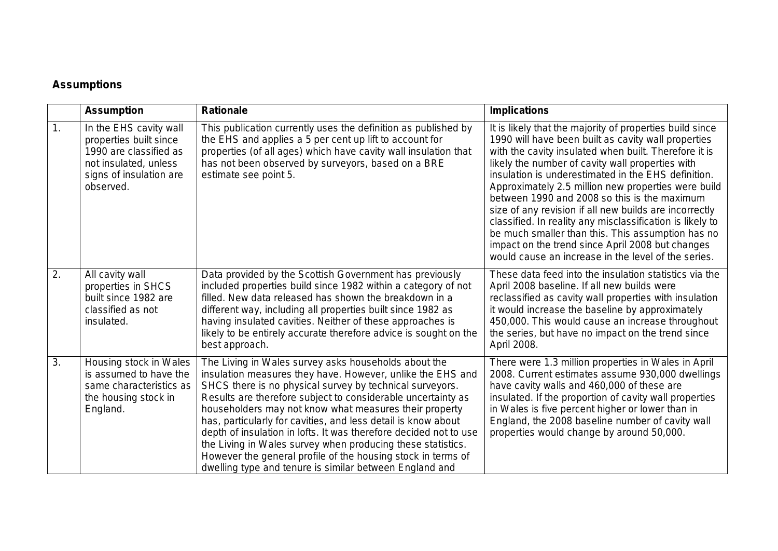# **Assumptions**

|    | <b>Assumption</b>                                                                                                                           | <b>Rationale</b>                                                                                                                                                                                                                                                                                                                                                                                                                                                                                                                                                                                                                         | <b>Implications</b>                                                                                                                                                                                                                                                                                                                                                                                                                                                                                                                                                                                                                                                               |
|----|---------------------------------------------------------------------------------------------------------------------------------------------|------------------------------------------------------------------------------------------------------------------------------------------------------------------------------------------------------------------------------------------------------------------------------------------------------------------------------------------------------------------------------------------------------------------------------------------------------------------------------------------------------------------------------------------------------------------------------------------------------------------------------------------|-----------------------------------------------------------------------------------------------------------------------------------------------------------------------------------------------------------------------------------------------------------------------------------------------------------------------------------------------------------------------------------------------------------------------------------------------------------------------------------------------------------------------------------------------------------------------------------------------------------------------------------------------------------------------------------|
| 1. | In the EHS cavity wall<br>properties built since<br>1990 are classified as<br>not insulated, unless<br>signs of insulation are<br>observed. | This publication currently uses the definition as published by<br>the EHS and applies a 5 per cent up lift to account for<br>properties (of all ages) which have cavity wall insulation that<br>has not been observed by surveyors, based on a BRE<br>estimate see point 5.                                                                                                                                                                                                                                                                                                                                                              | It is likely that the majority of properties build since<br>1990 will have been built as cavity wall properties<br>with the cavity insulated when built. Therefore it is<br>likely the number of cavity wall properties with<br>insulation is underestimated in the EHS definition.<br>Approximately 2.5 million new properties were build<br>between 1990 and 2008 so this is the maximum<br>size of any revision if all new builds are incorrectly<br>classified. In reality any misclassification is likely to<br>be much smaller than this. This assumption has no<br>impact on the trend since April 2008 but changes<br>would cause an increase in the level of the series. |
| 2. | All cavity wall<br>properties in SHCS<br>built since 1982 are<br>classified as not<br>insulated.                                            | Data provided by the Scottish Government has previously<br>included properties build since 1982 within a category of not<br>filled. New data released has shown the breakdown in a<br>different way, including all properties built since 1982 as<br>having insulated cavities. Neither of these approaches is<br>likely to be entirely accurate therefore advice is sought on the<br>best approach.                                                                                                                                                                                                                                     | These data feed into the insulation statistics via the<br>April 2008 baseline. If all new builds were<br>reclassified as cavity wall properties with insulation<br>it would increase the baseline by approximately<br>450,000. This would cause an increase throughout<br>the series, but have no impact on the trend since<br>April 2008.                                                                                                                                                                                                                                                                                                                                        |
| 3. | Housing stock in Wales<br>is assumed to have the<br>same characteristics as<br>the housing stock in<br>England.                             | The Living in Wales survey asks households about the<br>insulation measures they have. However, unlike the EHS and<br>SHCS there is no physical survey by technical surveyors.<br>Results are therefore subject to considerable uncertainty as<br>householders may not know what measures their property<br>has, particularly for cavities, and less detail is know about<br>depth of insulation in lofts. It was therefore decided not to use<br>the Living in Wales survey when producing these statistics.<br>However the general profile of the housing stock in terms of<br>dwelling type and tenure is similar between England and | There were 1.3 million properties in Wales in April<br>2008. Current estimates assume 930,000 dwellings<br>have cavity walls and 460,000 of these are<br>insulated. If the proportion of cavity wall properties<br>in Wales is five percent higher or lower than in<br>England, the 2008 baseline number of cavity wall<br>properties would change by around 50,000.                                                                                                                                                                                                                                                                                                              |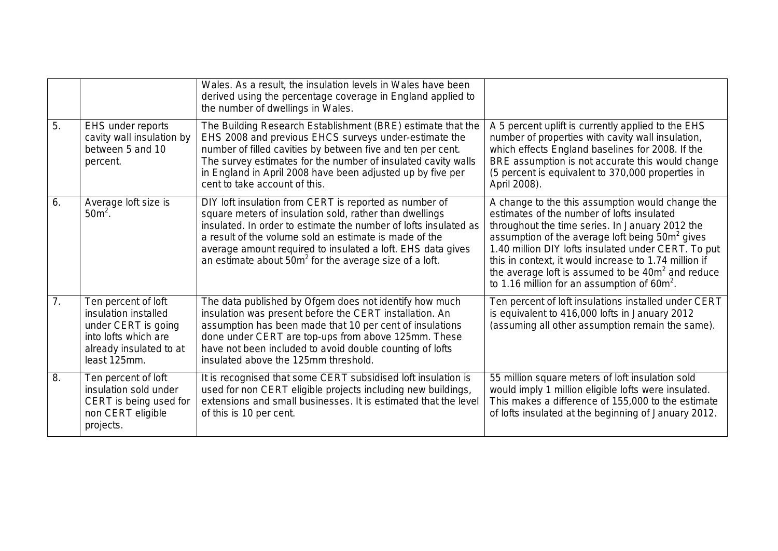|                |                                                                                                                                       | Wales. As a result, the insulation levels in Wales have been<br>derived using the percentage coverage in England applied to<br>the number of dwellings in Wales.                                                                                                                                                                                                            |                                                                                                                                                                                                                                                                                                                                                                                                                                                     |
|----------------|---------------------------------------------------------------------------------------------------------------------------------------|-----------------------------------------------------------------------------------------------------------------------------------------------------------------------------------------------------------------------------------------------------------------------------------------------------------------------------------------------------------------------------|-----------------------------------------------------------------------------------------------------------------------------------------------------------------------------------------------------------------------------------------------------------------------------------------------------------------------------------------------------------------------------------------------------------------------------------------------------|
| 5.             | EHS under reports<br>cavity wall insulation by<br>between 5 and 10<br>percent.                                                        | The Building Research Establishment (BRE) estimate that the<br>EHS 2008 and previous EHCS surveys under-estimate the<br>number of filled cavities by between five and ten per cent.<br>The survey estimates for the number of insulated cavity walls<br>in England in April 2008 have been adjusted up by five per<br>cent to take account of this.                         | A 5 percent uplift is currently applied to the EHS<br>number of properties with cavity wall insulation,<br>which effects England baselines for 2008. If the<br>BRE assumption is not accurate this would change<br>(5 percent is equivalent to 370,000 properties in<br>April 2008).                                                                                                                                                                |
| 6.             | Average loft size is<br>$50m²$ .                                                                                                      | DIY loft insulation from CERT is reported as number of<br>square meters of insulation sold, rather than dwellings<br>insulated. In order to estimate the number of lofts insulated as<br>a result of the volume sold an estimate is made of the<br>average amount required to insulated a loft. EHS data gives<br>an estimate about $50m^2$ for the average size of a loft. | A change to the this assumption would change the<br>estimates of the number of lofts insulated<br>throughout the time series. In January 2012 the<br>assumption of the average loft being 50m <sup>2</sup> gives<br>1.40 million DIY lofts insulated under CERT. To put<br>this in context, it would increase to 1.74 million if<br>the average loft is assumed to be 40m <sup>2</sup> and reduce<br>to 1.16 million for an assumption of $60m^2$ . |
| 7 <sub>1</sub> | Ten percent of loft<br>insulation installed<br>under CERT is going<br>into lofts which are<br>already insulated to at<br>least 125mm. | The data published by Ofgem does not identify how much<br>insulation was present before the CERT installation. An<br>assumption has been made that 10 per cent of insulations<br>done under CERT are top-ups from above 125mm. These<br>have not been included to avoid double counting of lofts<br>insulated above the 125mm threshold.                                    | Ten percent of loft insulations installed under CERT<br>is equivalent to 416,000 lofts in January 2012<br>(assuming all other assumption remain the same).                                                                                                                                                                                                                                                                                          |
| 8.             | Ten percent of loft<br>insulation sold under<br>CERT is being used for<br>non CERT eligible<br>projects.                              | It is recognised that some CERT subsidised loft insulation is<br>used for non CERT eligible projects including new buildings,<br>extensions and small businesses. It is estimated that the level<br>of this is 10 per cent.                                                                                                                                                 | 55 million square meters of loft insulation sold<br>would imply 1 million eligible lofts were insulated.<br>This makes a difference of 155,000 to the estimate<br>of lofts insulated at the beginning of January 2012.                                                                                                                                                                                                                              |